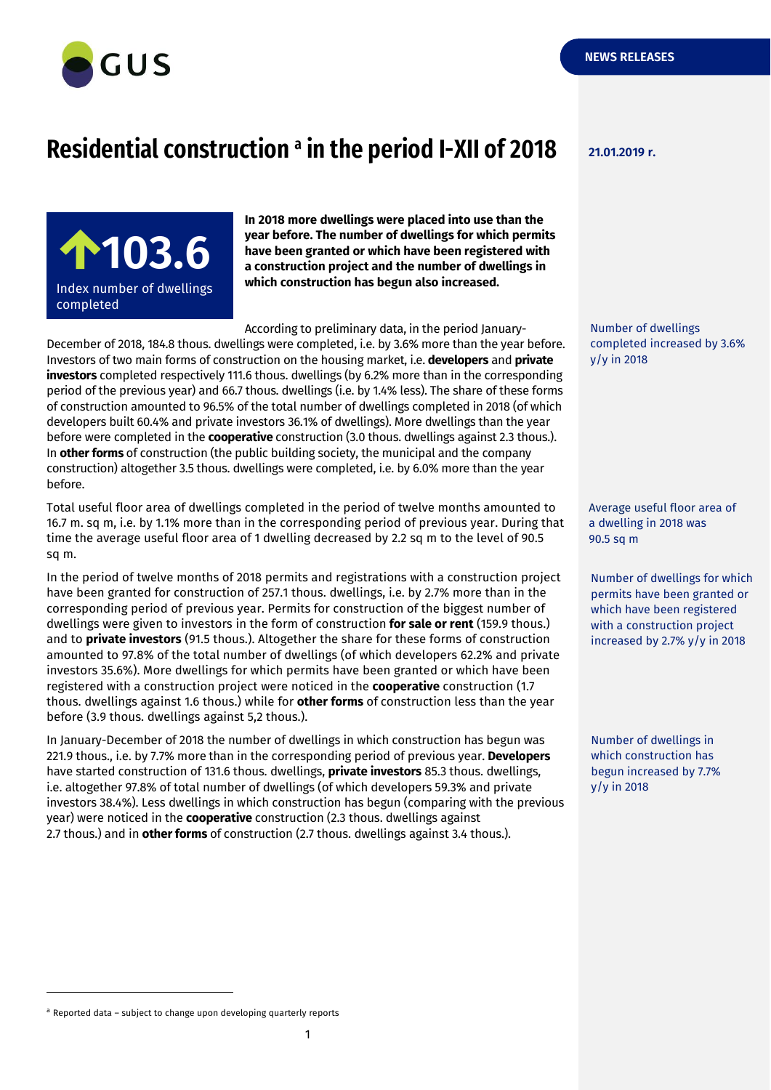

## **Residential construction 21.01.2019 r. <sup>a</sup> in the period I-XII of 2018**

**100,5 103.6** Index number of dwellings completed adipiscing elitency and

**In 2018 more dwellings were placed into use than the year before. The number of dwellings for which permits have been granted or which have been registered with a construction project and the number of dwellings in which construction has begun also increased.**

According to preliminary data, in the period January-

December of 2018, 184.8 thous. dwellings were completed, i.e. by 3.6% more than the year before. Investors of two main forms of construction on the housing market, i.e. **developers** and **private investors** completed respectively 111.6 thous. dwellings (by 6.2% more than in the corresponding period of the previous year) and 66.7 thous. dwellings (i.e. by 1.4% less). The share of these forms of construction amounted to 96.5% of the total number of dwellings completed in 2018 (of which developers built 60.4% and private investors 36.1% of dwellings). More dwellings than the year before were completed in the **cooperative** construction (3.0 thous. dwellings against 2.3 thous.). In **other forms** of construction (the public building society, the municipal and the company construction) altogether 3.5 thous. dwellings were completed, i.e. by 6.0% more than the year before.

Total useful floor area of dwellings completed in the period of twelve months amounted to 16.7 m. sq m, i.e. by 1.1% more than in the corresponding period of previous year. During that time the average useful floor area of 1 dwelling decreased by 2.2 sq m to the level of 90.5 sq m.

In the period of twelve months of 2018 permits and registrations with a construction project have been granted for construction of 257.1 thous. dwellings, i.e. by 2.7% more than in the corresponding period of previous year. Permits for construction of the biggest number of dwellings were given to investors in the form of construction **for sale or rent** (159.9 thous.) and to **private investors** (91.5 thous.). Altogether the share for these forms of construction amounted to 97.8% of the total number of dwellings (of which developers 62.2% and private investors 35.6%). More dwellings for which permits have been granted or which have been registered with a construction project were noticed in the **cooperative** construction (1.7 thous. dwellings against 1.6 thous.) while for **other forms** of construction less than the year before (3.9 thous. dwellings against 5,2 thous.).

In January-December of 2018 the number of dwellings in which construction has begun was 221.9 thous., i.e. by 7.7% more than in the corresponding period of previous year. **Developers** have started construction of 131.6 thous. dwellings, **private investors** 85.3 thous. dwellings, i.e. altogether 97.8% of total number of dwellings (of which developers 59.3% and private investors 38.4%). Less dwellings in which construction has begun (comparing with the previous year) were noticed in the **cooperative** construction (2.3 thous. dwellings against 2.7 thous.) and in **other forms** of construction (2.7 thous. dwellings against 3.4 thous.).

Number of dwellings completed increased by 3.6% y/y in 2018

Average useful floor area of a dwelling in 2018 was 90.5 sq m

Number of dwellings for which permits have been granted or which have been registered with a construction project increased by 2.7% y/y in 2018

Number of dwellings in which construction has begun increased by 7.7% y/y in 2018

-

 $a$  Reported data – subject to change upon developing quarterly reports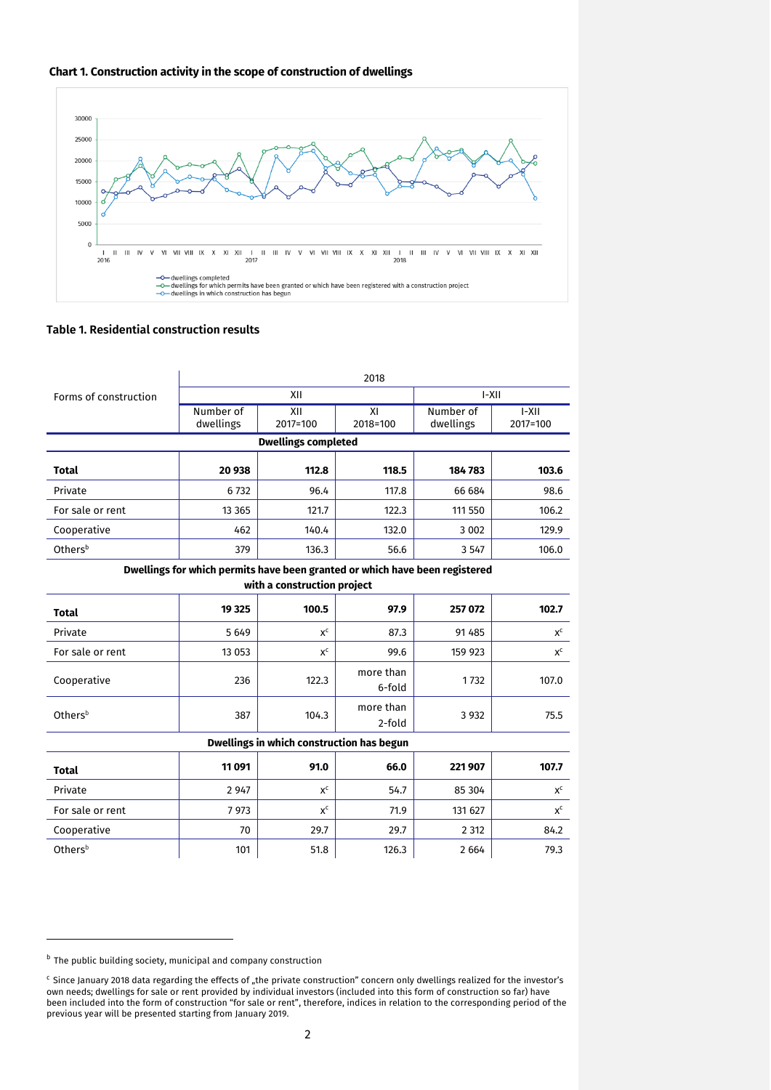



## **Table 1. Residential construction results**

|                                                                             | 2018                   |                 |                     |                        |                    |
|-----------------------------------------------------------------------------|------------------------|-----------------|---------------------|------------------------|--------------------|
| Forms of construction                                                       | XII                    |                 |                     | $I-XII$                |                    |
|                                                                             | Number of<br>dwellings | XII<br>2017=100 | XI<br>2018=100      | Number of<br>dwellings | $-XII$<br>2017=100 |
| <b>Dwellings completed</b>                                                  |                        |                 |                     |                        |                    |
| <b>Total</b>                                                                | 20 938                 | 112.8           | 118.5               | 184783                 | 103.6              |
| Private                                                                     | 6732                   | 96.4            | 117.8               | 66 684                 | 98.6               |
| For sale or rent                                                            | 13 3 65                | 121.7           | 122.3               | 111 550                | 106.2              |
| Cooperative                                                                 | 462                    | 140.4           | 132.0               | 3 0 0 2                | 129.9              |
| Othersb                                                                     | 379                    | 136.3           | 56.6                | 3 5 4 7                | 106.0              |
| Dwellings for which permits have been granted or which have been registered |                        |                 |                     |                        |                    |
| with a construction project                                                 |                        |                 |                     |                        |                    |
| <b>Total</b>                                                                | 19 3 25                | 100.5           | 97.9                | 257 072                | 102.7              |
| Private                                                                     | 5649                   | $x^c$           | 87.3                | 91 4 8 5               | $X^C$              |
| For sale or rent                                                            | 13 053                 | $x^c$           | 99.6                | 159 923                | $x^c$              |
| Cooperative                                                                 | 236                    | 122.3           | more than<br>6-fold | 1732                   | 107.0              |
| Othersb                                                                     | 387                    | 104.3           | more than<br>2-fold | 3 9 3 2                | 75.5               |
| Dwellings in which construction has begun                                   |                        |                 |                     |                        |                    |
| <b>Total</b>                                                                | 11091                  | 91.0            | 66.0                | 221907                 | 107.7              |
| Private                                                                     | 2 9 4 7                | $x^c$           | 54.7                | 85 304                 | $x^c$              |
| For sale or rent                                                            | 7973                   | $x^c$           | 71.9                | 131 627                | $x^c$              |
| Cooperative                                                                 | 70                     | 29.7            | 29.7                | 2 3 1 2                | 84.2               |
| Othersb                                                                     | 101                    | 51.8            | 126.3               | 2 6 6 4                | 79.3               |

-

**b** The public building society, municipal and company construction

<sup>&</sup>lt;sup>c</sup> Since January 2018 data regarding the effects of "the private construction" concern only dwellings realized for the investor's own needs; dwellings for sale or rent provided by individual investors (included into this form of construction so far) have been included into the form of construction "for sale or rent", therefore, indices in relation to the corresponding period of the previous year will be presented starting from January 2019.